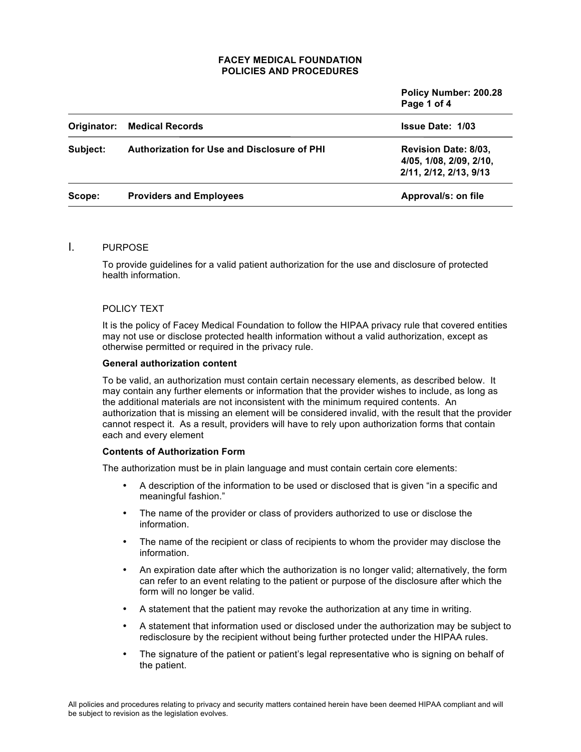|             |                                                    | Policy Number: 200.28<br>Page 1 of 4                                             |
|-------------|----------------------------------------------------|----------------------------------------------------------------------------------|
| Originator: | <b>Medical Records</b>                             | <b>Issue Date: 1/03</b>                                                          |
| Subject:    | <b>Authorization for Use and Disclosure of PHI</b> | <b>Revision Date: 8/03,</b><br>4/05, 1/08, 2/09, 2/10,<br>2/11, 2/12, 2/13, 9/13 |
| Scope:      | <b>Providers and Employees</b>                     | Approval/s: on file                                                              |

# I. PURPOSE

To provide guidelines for a valid patient authorization for the use and disclosure of protected health information.

## POLICY TEXT

It is the policy of Facey Medical Foundation to follow the HIPAA privacy rule that covered entities may not use or disclose protected health information without a valid authorization, except as otherwise permitted or required in the privacy rule.

#### **General authorization content**

To be valid, an authorization must contain certain necessary elements, as described below. It may contain any further elements or information that the provider wishes to include, as long as the additional materials are not inconsistent with the minimum required contents. An authorization that is missing an element will be considered invalid, with the result that the provider cannot respect it. As a result, providers will have to rely upon authorization forms that contain each and every element

## **Contents of Authorization Form**

The authorization must be in plain language and must contain certain core elements:

- A description of the information to be used or disclosed that is given "in a specific and meaningful fashion."
- The name of the provider or class of providers authorized to use or disclose the information.
- The name of the recipient or class of recipients to whom the provider may disclose the information.
- An expiration date after which the authorization is no longer valid; alternatively, the form can refer to an event relating to the patient or purpose of the disclosure after which the form will no longer be valid.
- A statement that the patient may revoke the authorization at any time in writing.
- A statement that information used or disclosed under the authorization may be subject to redisclosure by the recipient without being further protected under the HIPAA rules.
- The signature of the patient or patient's legal representative who is signing on behalf of the patient.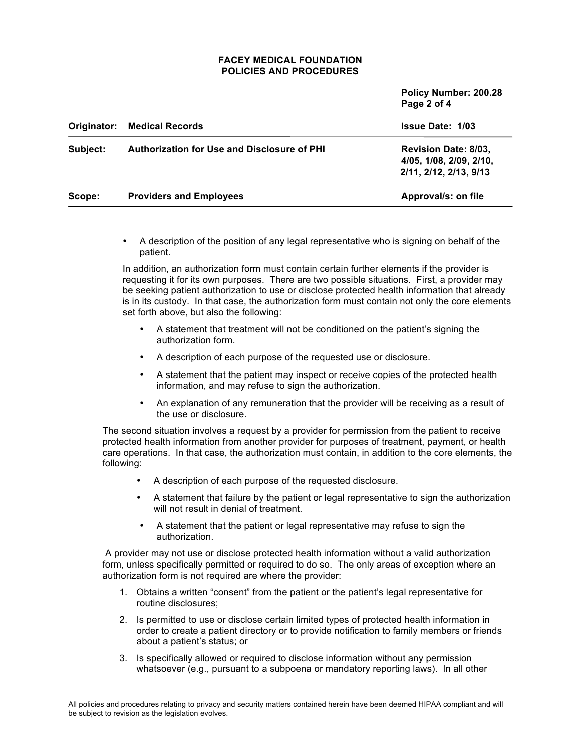|             |                                                    | Policy Number: 200.28<br>Page 2 of 4                                             |
|-------------|----------------------------------------------------|----------------------------------------------------------------------------------|
| Originator: | <b>Medical Records</b>                             | <b>Issue Date: 1/03</b>                                                          |
| Subject:    | <b>Authorization for Use and Disclosure of PHI</b> | <b>Revision Date: 8/03,</b><br>4/05, 1/08, 2/09, 2/10,<br>2/11, 2/12, 2/13, 9/13 |
| Scope:      | <b>Providers and Employees</b>                     | Approval/s: on file                                                              |

• A description of the position of any legal representative who is signing on behalf of the patient.

In addition, an authorization form must contain certain further elements if the provider is requesting it for its own purposes. There are two possible situations. First, a provider may be seeking patient authorization to use or disclose protected health information that already is in its custody. In that case, the authorization form must contain not only the core elements set forth above, but also the following:

- A statement that treatment will not be conditioned on the patient's signing the authorization form.
- A description of each purpose of the requested use or disclosure.
- A statement that the patient may inspect or receive copies of the protected health information, and may refuse to sign the authorization.
- An explanation of any remuneration that the provider will be receiving as a result of the use or disclosure.

The second situation involves a request by a provider for permission from the patient to receive protected health information from another provider for purposes of treatment, payment, or health care operations. In that case, the authorization must contain, in addition to the core elements, the following:

- A description of each purpose of the requested disclosure.
- A statement that failure by the patient or legal representative to sign the authorization will not result in denial of treatment.
- A statement that the patient or legal representative may refuse to sign the authorization.

A provider may not use or disclose protected health information without a valid authorization form, unless specifically permitted or required to do so. The only areas of exception where an authorization form is not required are where the provider:

- 1. Obtains a written "consent" from the patient or the patient's legal representative for routine disclosures;
- 2. Is permitted to use or disclose certain limited types of protected health information in order to create a patient directory or to provide notification to family members or friends about a patient's status; or
- 3. Is specifically allowed or required to disclose information without any permission whatsoever (e.g., pursuant to a subpoena or mandatory reporting laws). In all other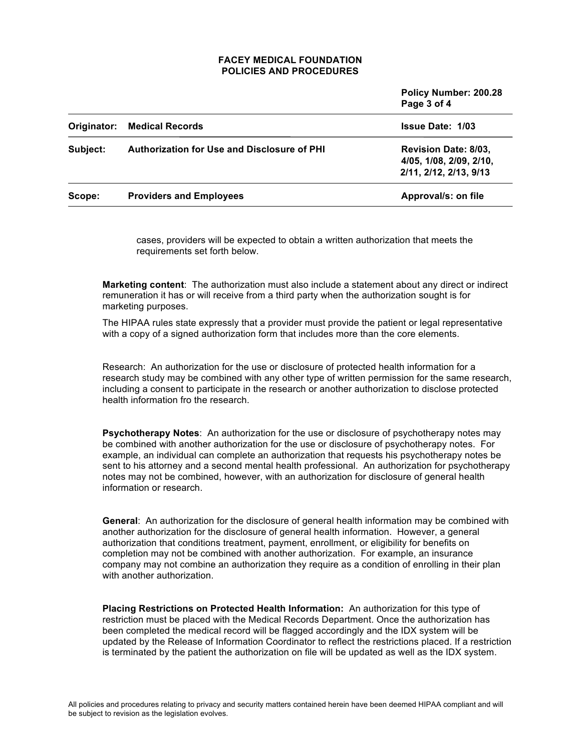|             |                                                    | Policy Number: 200.28<br>Page 3 of 4                                             |
|-------------|----------------------------------------------------|----------------------------------------------------------------------------------|
| Originator: | <b>Medical Records</b>                             | <b>Issue Date: 1/03</b>                                                          |
| Subject:    | <b>Authorization for Use and Disclosure of PHI</b> | <b>Revision Date: 8/03,</b><br>4/05, 1/08, 2/09, 2/10,<br>2/11, 2/12, 2/13, 9/13 |
| Scope:      | <b>Providers and Employees</b>                     | Approval/s: on file                                                              |

cases, providers will be expected to obtain a written authorization that meets the requirements set forth below.

**Marketing content**: The authorization must also include a statement about any direct or indirect remuneration it has or will receive from a third party when the authorization sought is for marketing purposes.

The HIPAA rules state expressly that a provider must provide the patient or legal representative with a copy of a signed authorization form that includes more than the core elements.

Research: An authorization for the use or disclosure of protected health information for a research study may be combined with any other type of written permission for the same research, including a consent to participate in the research or another authorization to disclose protected health information fro the research.

**Psychotherapy Notes**: An authorization for the use or disclosure of psychotherapy notes may be combined with another authorization for the use or disclosure of psychotherapy notes. For example, an individual can complete an authorization that requests his psychotherapy notes be sent to his attorney and a second mental health professional. An authorization for psychotherapy notes may not be combined, however, with an authorization for disclosure of general health information or research.

**General**: An authorization for the disclosure of general health information may be combined with another authorization for the disclosure of general health information. However, a general authorization that conditions treatment, payment, enrollment, or eligibility for benefits on completion may not be combined with another authorization. For example, an insurance company may not combine an authorization they require as a condition of enrolling in their plan with another authorization.

**Placing Restrictions on Protected Health Information:** An authorization for this type of restriction must be placed with the Medical Records Department. Once the authorization has been completed the medical record will be flagged accordingly and the IDX system will be updated by the Release of Information Coordinator to reflect the restrictions placed. If a restriction is terminated by the patient the authorization on file will be updated as well as the IDX system.